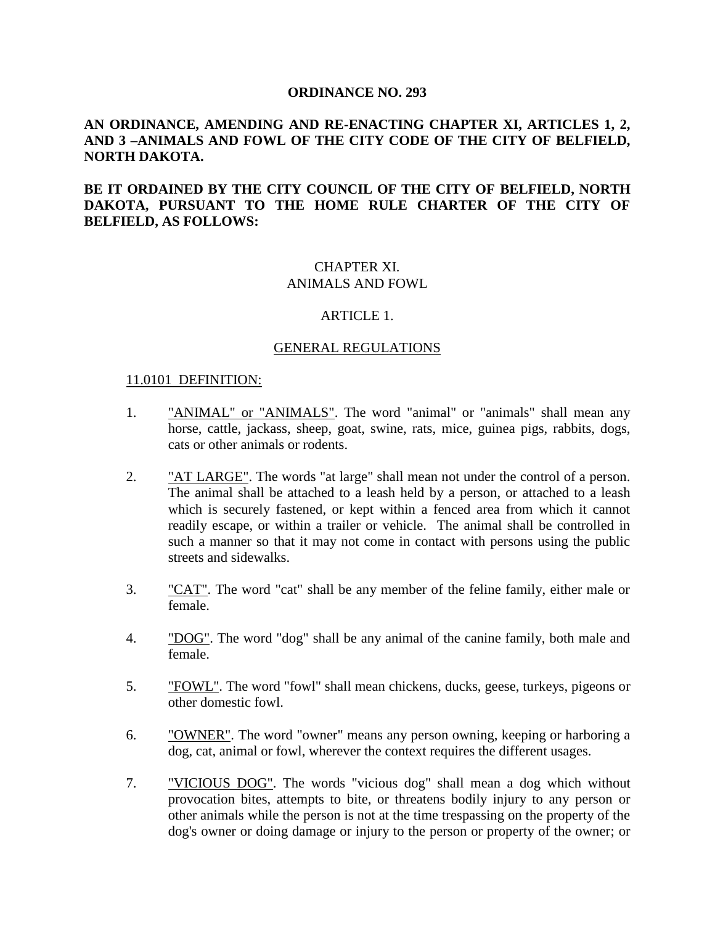#### **ORDINANCE NO. 293**

## **AN ORDINANCE, AMENDING AND RE-ENACTING CHAPTER XI, ARTICLES 1, 2, AND 3 –ANIMALS AND FOWL OF THE CITY CODE OF THE CITY OF BELFIELD, NORTH DAKOTA.**

**BE IT ORDAINED BY THE CITY COUNCIL OF THE CITY OF BELFIELD, NORTH DAKOTA, PURSUANT TO THE HOME RULE CHARTER OF THE CITY OF BELFIELD, AS FOLLOWS:**

# CHAPTER XI. ANIMALS AND FOWL

#### ARTICLE 1.

#### GENERAL REGULATIONS

#### 11.0101 DEFINITION:

- 1. "ANIMAL" or "ANIMALS". The word "animal" or "animals" shall mean any horse, cattle, jackass, sheep, goat, swine, rats, mice, guinea pigs, rabbits, dogs, cats or other animals or rodents.
- 2. "AT LARGE". The words "at large" shall mean not under the control of a person. The animal shall be attached to a leash held by a person, or attached to a leash which is securely fastened, or kept within a fenced area from which it cannot readily escape, or within a trailer or vehicle. The animal shall be controlled in such a manner so that it may not come in contact with persons using the public streets and sidewalks.
- 3. "CAT". The word "cat" shall be any member of the feline family, either male or female.
- 4. "DOG". The word "dog" shall be any animal of the canine family, both male and female.
- 5. "FOWL". The word "fowl" shall mean chickens, ducks, geese, turkeys, pigeons or other domestic fowl.
- 6. "OWNER". The word "owner" means any person owning, keeping or harboring a dog, cat, animal or fowl, wherever the context requires the different usages.
- 7. "VICIOUS DOG". The words "vicious dog" shall mean a dog which without provocation bites, attempts to bite, or threatens bodily injury to any person or other animals while the person is not at the time trespassing on the property of the dog's owner or doing damage or injury to the person or property of the owner; or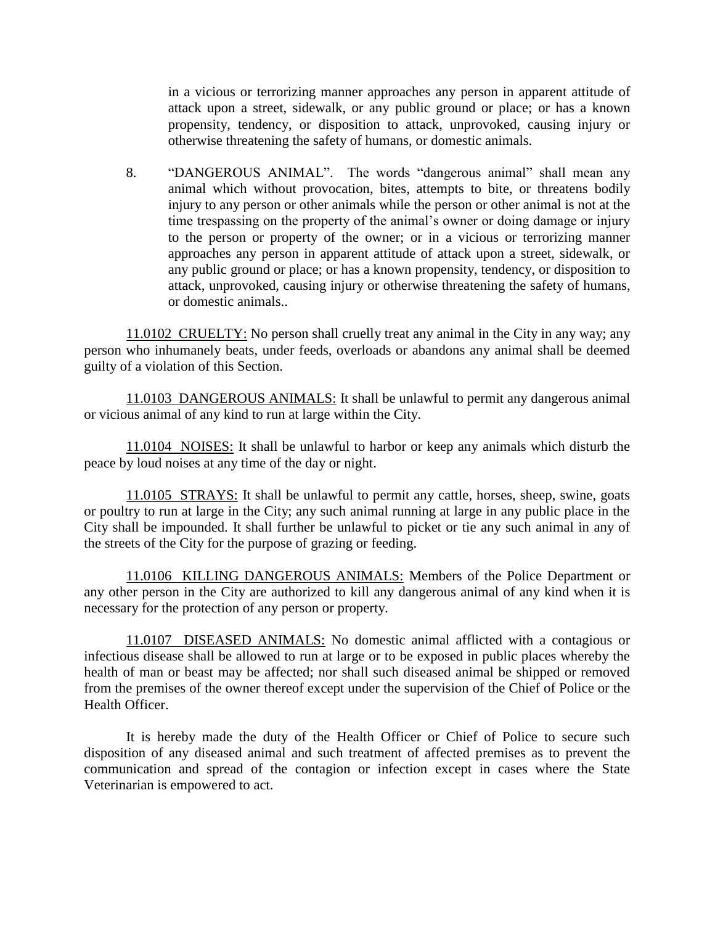in a vicious or terrorizing manner approaches any person in apparent attitude of attack upon a street, sidewalk, or any public ground or place; or has a known propensity, tendency, or disposition to attack, unprovoked, causing injury or otherwise threatening the safety of humans, or domestic animals.

8. "DANGEROUS ANIMAL". The words "dangerous animal" shall mean any animal which without provocation, bites, attempts to bite, or threatens bodily injury to any person or other animals while the person or other animal is not at the time trespassing on the property of the animal's owner or doing damage or injury to the person or property of the owner; or in a vicious or terrorizing manner approaches any person in apparent attitude of attack upon a street, sidewalk, or any public ground or place; or has a known propensity, tendency, or disposition to attack, unprovoked, causing injury or otherwise threatening the safety of humans, or domestic animals..

11.0102 CRUELTY: No person shall cruelly treat any animal in the City in any way; any person who inhumanely beats, under feeds, overloads or abandons any animal shall be deemed guilty of a violation of this Section.

11.0103 DANGEROUS ANIMALS: It shall be unlawful to permit any dangerous animal or vicious animal of any kind to run at large within the City.

11.0104 NOISES: It shall be unlawful to harbor or keep any animals which disturb the peace by loud noises at any time of the day or night.

11.0105 STRAYS: It shall be unlawful to permit any cattle, horses, sheep, swine, goats or poultry to run at large in the City; any such animal running at large in any public place in the City shall be impounded. It shall further be unlawful to picket or tie any such animal in any of the streets of the City for the purpose of grazing or feeding.

11.0106 KILLING DANGEROUS ANIMALS: Members of the Police Department or any other person in the City are authorized to kill any dangerous animal of any kind when it is necessary for the protection of any person or property.

11.0107 DISEASED ANIMALS: No domestic animal afflicted with a contagious or infectious disease shall be allowed to run at large or to be exposed in public places whereby the health of man or beast may be affected; nor shall such diseased animal be shipped or removed from the premises of the owner thereof except under the supervision of the Chief of Police or the Health Officer.

It is hereby made the duty of the Health Officer or Chief of Police to secure such disposition of any diseased animal and such treatment of affected premises as to prevent the communication and spread of the contagion or infection except in cases where the State Veterinarian is empowered to act.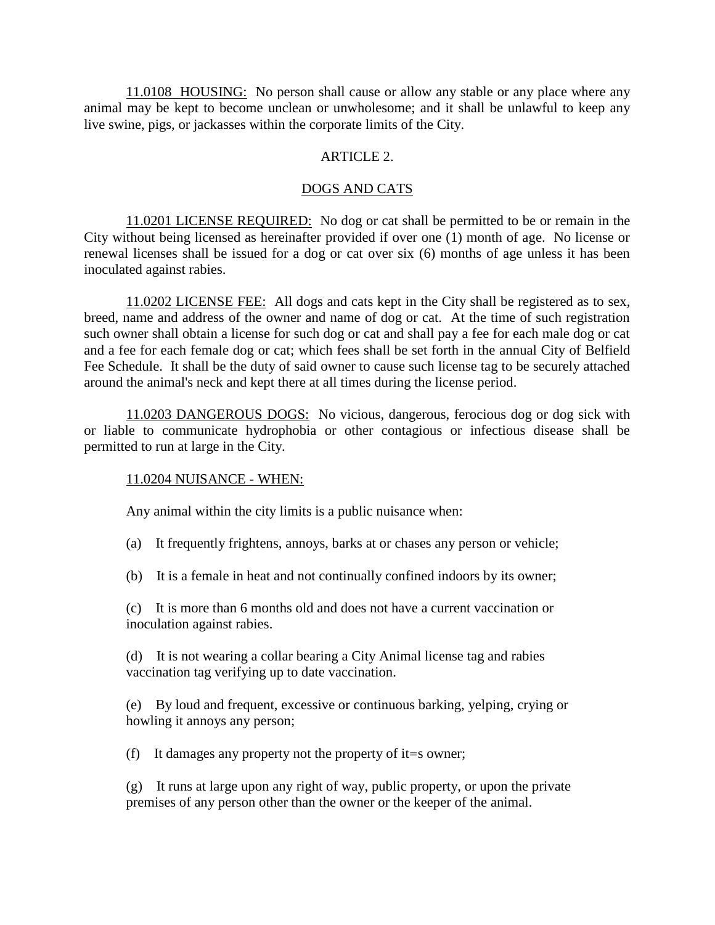11.0108 HOUSING: No person shall cause or allow any stable or any place where any animal may be kept to become unclean or unwholesome; and it shall be unlawful to keep any live swine, pigs, or jackasses within the corporate limits of the City.

### ARTICLE 2.

#### DOGS AND CATS

11.0201 LICENSE REQUIRED: No dog or cat shall be permitted to be or remain in the City without being licensed as hereinafter provided if over one (1) month of age. No license or renewal licenses shall be issued for a dog or cat over six (6) months of age unless it has been inoculated against rabies.

11.0202 LICENSE FEE: All dogs and cats kept in the City shall be registered as to sex, breed, name and address of the owner and name of dog or cat. At the time of such registration such owner shall obtain a license for such dog or cat and shall pay a fee for each male dog or cat and a fee for each female dog or cat; which fees shall be set forth in the annual City of Belfield Fee Schedule. It shall be the duty of said owner to cause such license tag to be securely attached around the animal's neck and kept there at all times during the license period.

11.0203 DANGEROUS DOGS: No vicious, dangerous, ferocious dog or dog sick with or liable to communicate hydrophobia or other contagious or infectious disease shall be permitted to run at large in the City.

#### 11.0204 NUISANCE - WHEN:

Any animal within the city limits is a public nuisance when:

(a) It frequently frightens, annoys, barks at or chases any person or vehicle;

(b) It is a female in heat and not continually confined indoors by its owner;

(c) It is more than 6 months old and does not have a current vaccination or inoculation against rabies.

(d) It is not wearing a collar bearing a City Animal license tag and rabies vaccination tag verifying up to date vaccination.

(e) By loud and frequent, excessive or continuous barking, yelping, crying or howling it annoys any person;

(f) It damages any property not the property of it=s owner;

(g) It runs at large upon any right of way, public property, or upon the private premises of any person other than the owner or the keeper of the animal.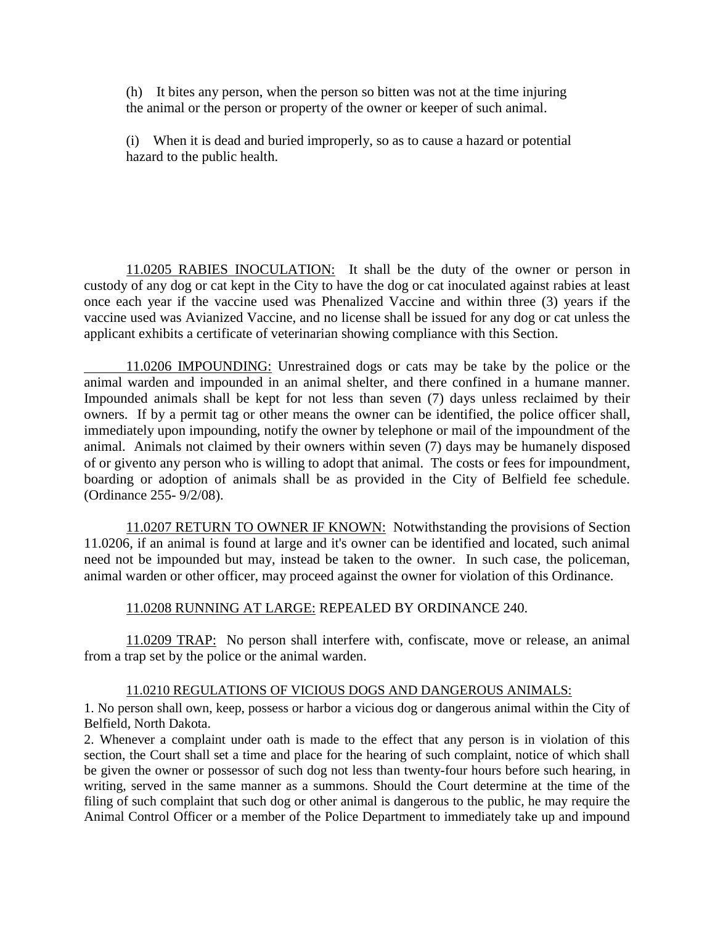(h) It bites any person, when the person so bitten was not at the time injuring the animal or the person or property of the owner or keeper of such animal.

(i) When it is dead and buried improperly, so as to cause a hazard or potential hazard to the public health.

11.0205 RABIES INOCULATION: It shall be the duty of the owner or person in custody of any dog or cat kept in the City to have the dog or cat inoculated against rabies at least once each year if the vaccine used was Phenalized Vaccine and within three (3) years if the vaccine used was Avianized Vaccine, and no license shall be issued for any dog or cat unless the applicant exhibits a certificate of veterinarian showing compliance with this Section.

11.0206 IMPOUNDING: Unrestrained dogs or cats may be take by the police or the animal warden and impounded in an animal shelter, and there confined in a humane manner. Impounded animals shall be kept for not less than seven (7) days unless reclaimed by their owners. If by a permit tag or other means the owner can be identified, the police officer shall, immediately upon impounding, notify the owner by telephone or mail of the impoundment of the animal. Animals not claimed by their owners within seven (7) days may be humanely disposed of or givento any person who is willing to adopt that animal. The costs or fees for impoundment, boarding or adoption of animals shall be as provided in the City of Belfield fee schedule. (Ordinance 255- 9/2/08).

11.0207 RETURN TO OWNER IF KNOWN: Notwithstanding the provisions of Section 11.0206, if an animal is found at large and it's owner can be identified and located, such animal need not be impounded but may, instead be taken to the owner. In such case, the policeman, animal warden or other officer, may proceed against the owner for violation of this Ordinance.

11.0208 RUNNING AT LARGE: REPEALED BY ORDINANCE 240.

11.0209 TRAP: No person shall interfere with, confiscate, move or release, an animal from a trap set by the police or the animal warden.

### 11.0210 REGULATIONS OF VICIOUS DOGS AND DANGEROUS ANIMALS:

1. No person shall own, keep, possess or harbor a vicious dog or dangerous animal within the City of Belfield, North Dakota.

2. Whenever a complaint under oath is made to the effect that any person is in violation of this section, the Court shall set a time and place for the hearing of such complaint, notice of which shall be given the owner or possessor of such dog not less than twenty-four hours before such hearing, in writing, served in the same manner as a summons. Should the Court determine at the time of the filing of such complaint that such dog or other animal is dangerous to the public, he may require the Animal Control Officer or a member of the Police Department to immediately take up and impound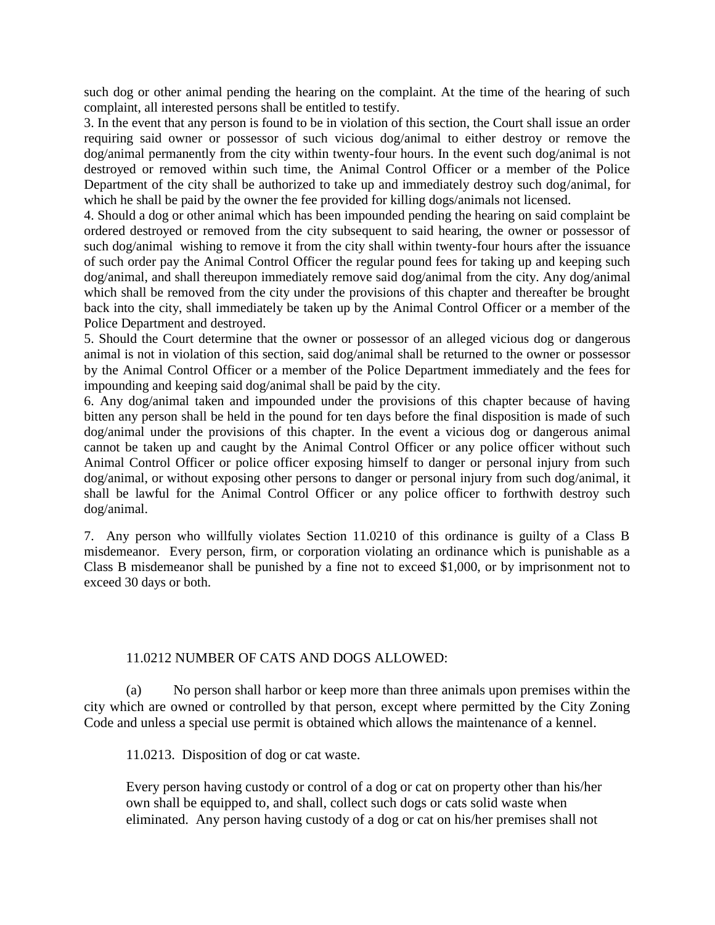such dog or other animal pending the hearing on the complaint. At the time of the hearing of such complaint, all interested persons shall be entitled to testify.

3. In the event that any person is found to be in violation of this section, the Court shall issue an order requiring said owner or possessor of such vicious dog/animal to either destroy or remove the dog/animal permanently from the city within twenty-four hours. In the event such dog/animal is not destroyed or removed within such time, the Animal Control Officer or a member of the Police Department of the city shall be authorized to take up and immediately destroy such dog/animal, for which he shall be paid by the owner the fee provided for killing dogs/animals not licensed.

4. Should a dog or other animal which has been impounded pending the hearing on said complaint be ordered destroyed or removed from the city subsequent to said hearing, the owner or possessor of such dog/animal wishing to remove it from the city shall within twenty-four hours after the issuance of such order pay the Animal Control Officer the regular pound fees for taking up and keeping such dog/animal, and shall thereupon immediately remove said dog/animal from the city. Any dog/animal which shall be removed from the city under the provisions of this chapter and thereafter be brought back into the city, shall immediately be taken up by the Animal Control Officer or a member of the Police Department and destroyed.

5. Should the Court determine that the owner or possessor of an alleged vicious dog or dangerous animal is not in violation of this section, said dog/animal shall be returned to the owner or possessor by the Animal Control Officer or a member of the Police Department immediately and the fees for impounding and keeping said dog/animal shall be paid by the city.

6. Any dog/animal taken and impounded under the provisions of this chapter because of having bitten any person shall be held in the pound for ten days before the final disposition is made of such dog/animal under the provisions of this chapter. In the event a vicious dog or dangerous animal cannot be taken up and caught by the Animal Control Officer or any police officer without such Animal Control Officer or police officer exposing himself to danger or personal injury from such dog/animal, or without exposing other persons to danger or personal injury from such dog/animal, it shall be lawful for the Animal Control Officer or any police officer to forthwith destroy such dog/animal.

7. Any person who willfully violates Section 11.0210 of this ordinance is guilty of a Class B misdemeanor. Every person, firm, or corporation violating an ordinance which is punishable as a Class B misdemeanor shall be punished by a fine not to exceed \$1,000, or by imprisonment not to exceed 30 days or both.

### 11.0212 NUMBER OF CATS AND DOGS ALLOWED:

(a) No person shall harbor or keep more than three animals upon premises within the city which are owned or controlled by that person, except where permitted by the City Zoning Code and unless a special use permit is obtained which allows the maintenance of a kennel.

11.0213. Disposition of dog or cat waste.

Every person having custody or control of a dog or cat on property other than his/her own shall be equipped to, and shall, collect such dogs or cats solid waste when eliminated. Any person having custody of a dog or cat on his/her premises shall not